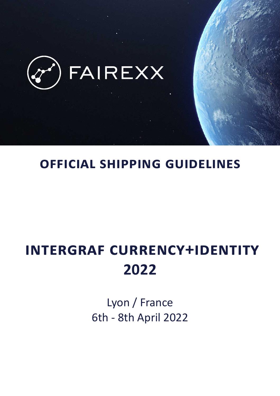

# **OFFICIAL SHIPPING GUIDELINES**

# **INTERGRAF CURRENCY+IDENTITY 2022**

Lyon / France 6th - 8th April 2022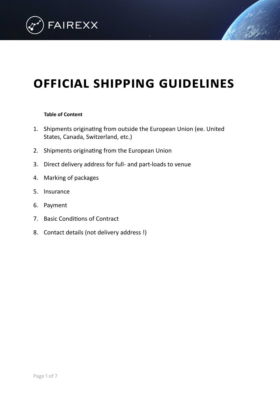

# **OFFICIAL SHIPPING GUIDELINES**

#### **Table of Content**

- 1. Shipments originating from outside the European Union (ee. United States, Canada, Switzerland, etc.)
- 2. Shipments originating from the European Union
- 3. Direct delivery address for full- and part-loads to venue
- 4. Marking of packages
- 5. [Insurance](#page-6-1)
- 6. [Payment](#page-6-2)
- 7. Basic Conditions of Contract
- 8. Contact details (not delivery address !)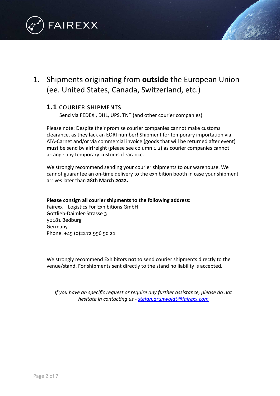

## <span id="page-2-0"></span>1. Shipments originating from **outside** the European Union (ee. United States, Canada, Switzerland, etc.)

### **1.1** COURIER SHIPMENTS

Send via FEDEX, DHL, UPS, TNT (and other courier companies)

Please note: Despite their promise courier companies cannot make customs clearance, as they lack an EORI number! Shipment for temporary importation via ATA-Carnet and/or via commercial invoice (goods that will be returned after event) **must** be send by airfreight (please see column 1.2) as courier companies cannot arrange any temporary customs clearance.

We strongly recommend sending your courier shipments to our warehouse. We cannot guarantee an on-time delivery to the exhibition booth in case your shipment arrives later than **28th March 2022.** 

#### **Please consign all courier shipments to the following address:**

Fairexx – Logistics For Exhibitions GmbH Gottlieb-Daimler-Strasse 3 50181 Bedburg Germany Phone: +49 (0)2272 996 90 21

We strongly recommend Exhibitors not to send courier shipments directly to the venue/stand. For shipments sent directly to the stand no liability is accepted.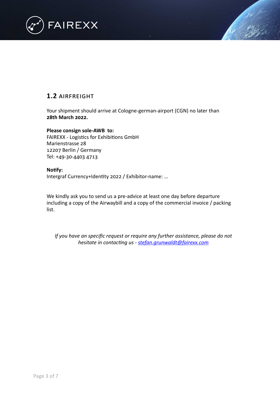

### **1.2** AIRFREIGHT

Your shipment should arrive at Cologne-german-airport (CGN) no later than **28th March 2022.**

**Please consign sole-AWB to:** FAIREXX - Logistics for Exhibitions GmbH Marienstrasse 28 12207 Berlin / Germany Tel: +49-30-4403 4713

#### **Notify:**

Intergraf Currency+Identity 2022 / Exhibitor-name: ...

We kindly ask you to send us a pre-advice at least one day before departure including a copy of the Airwaybill and a copy of the commercial invoice / packing list.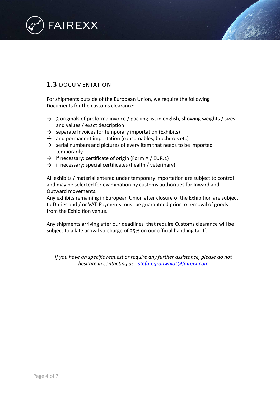

### **1.3** DOCUMENTATION

For shipments outside of the European Union, we require the following Documents for the customs clearance:

- $\rightarrow$  3 originals of proforma invoice / packing list in english, showing weights / sizes and values / exact description
- $\rightarrow$  separate Invoices for temporary importation (Exhibits)
- $\rightarrow$  and permanent importation (consumables, brochures etc)
- $\rightarrow$  serial numbers and pictures of every item that needs to be imported temporarily
- $\rightarrow$  if necessary: certificate of origin (Form A / EUR.1)
- $\rightarrow$  if necessary: special certificates (health / veterinary)

All exhibits / material entered under temporary importation are subject to control and may be selected for examination by customs authorities for Inward and Outward movements.

Any exhibits remaining in European Union after closure of the Exhibition are subject to Duties and / or VAT. Payments must be guaranteed prior to removal of goods from the Exhibition venue.

Any shipments arriving after our deadlines that require Customs clearance will be subject to a late arrival surcharge of 25% on our official handling tariff.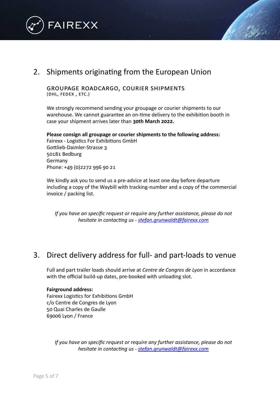



<span id="page-5-0"></span>GROUPAGE ROADCARGO, COURIER SHIPMENTS (DHL, FEDEX, ETC.)

We strongly recommend sending your groupage or courier shipments to our warehouse. We cannot guarantee an on-time delivery to the exhibition booth in case your shipment arrives later than **30th March 2022.** 

#### Please consign all groupage or courier shipments to the following address:

Fairexx - Logistics For Exhibitions GmbH Gottlieb-Daimler-Strasse 3 50181 Bedburg Germany Phone: +49 (0)2272 996 90 21

We kindly ask you to send us a pre-advice at least one day before departure including a copy of the Waybill with tracking-number and a copy of the commercial invoice / packing list.

*If you have an specific request or require any further assistance, please do not hesitate in contacting us - stefan.grunwaldt@fairexx.com* 

## <span id="page-5-1"></span>3. Direct delivery address for full- and part-loads to venue

Full and part trailer loads should arrive at *Centre de Congres de Lyon* in accordance with the official build-up dates, pre-booked with unloading slot.

#### **Fairground address:**

Fairexx Logistics for Exhibitions GmbH c/o Centre de Congres de Lyon 50 Quai Charles de Gaulle 69006 Lyon / France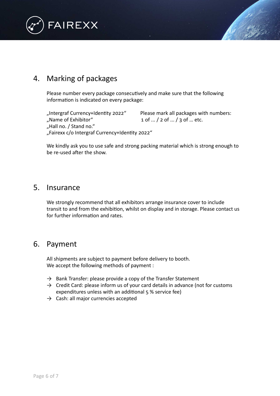

# <span id="page-6-0"></span>4. Marking of packages

Please number every package consecutively and make sure that the following information is indicated on every package:

"Intergraf Currency+Identity 2022" Please mark all packages with numbers: "Name of Exhibitor"  $1$  of ...  $/$  2 of ...  $/$  3 of ... etc. "Hall no. / Stand no." "Fairexx c/o Intergraf Currency+Identity 2022"

We kindly ask you to use safe and strong packing material which is strong enough to be re-used after the show.

## <span id="page-6-1"></span>5. Insurance

We strongly recommend that all exhibitors arrange insurance cover to include transit to and from the exhibition, whilst on display and in storage. Please contact us for further information and rates.

## <span id="page-6-2"></span>6. Payment

All shipments are subject to payment before delivery to booth. We accept the following methods of payment :

- $\rightarrow$  Bank Transfer: please provide a copy of the Transfer Statement
- $\rightarrow$  Credit Card: please inform us of your card details in advance (not for customs expenditures unless with an additional 5 % service fee)
- $\rightarrow$  Cash: all major currencies accepted